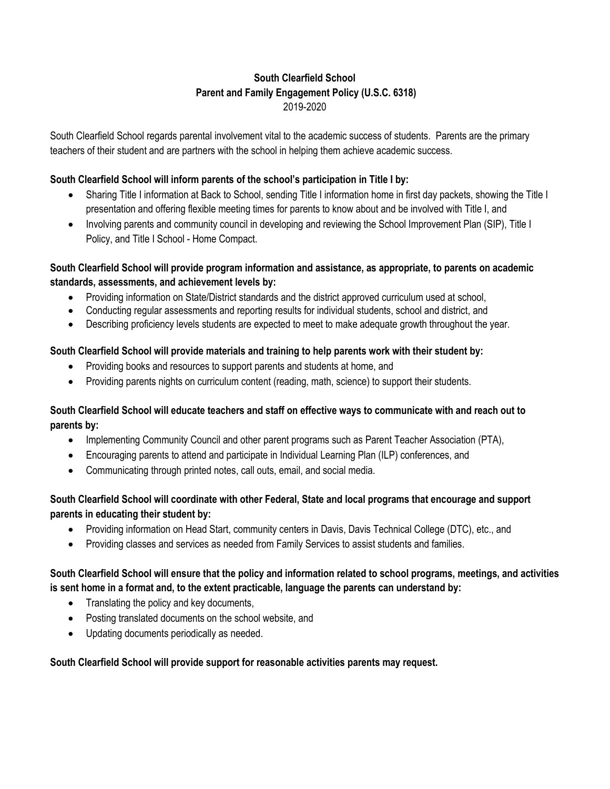## **South Clearfield School Parent and Family Engagement Policy (U.S.C. 6318)** 2019-2020

South Clearfield School regards parental involvement vital to the academic success of students. Parents are the primary teachers of their student and are partners with the school in helping them achieve academic success.

## **South Clearfield School will inform parents of the school's participation in Title I by:**

- Sharing Title I information at Back to School, sending Title I information home in first day packets, showing the Title I presentation and offering flexible meeting times for parents to know about and be involved with Title I, and
- Involving parents and community council in developing and reviewing the School Improvement Plan (SIP), Title I Policy, and Title I School - Home Compact.

## **South Clearfield School will provide program information and assistance, as appropriate, to parents on academic standards, assessments, and achievement levels by:**

- Providing information on State/District standards and the district approved curriculum used at school.
- Conducting regular assessments and reporting results for individual students, school and district, and
- Describing proficiency levels students are expected to meet to make adequate growth throughout the year.

## **South Clearfield School will provide materials and training to help parents work with their student by:**

- Providing books and resources to support parents and students at home, and
- Providing parents nights on curriculum content (reading, math, science) to support their students.

## **South Clearfield School will educate teachers and staff on effective ways to communicate with and reach out to parents by:**

- Implementing Community Council and other parent programs such as Parent Teacher Association (PTA),
- Encouraging parents to attend and participate in Individual Learning Plan (ILP) conferences, and
- Communicating through printed notes, call outs, email, and social media.

# **South Clearfield School will coordinate with other Federal, State and local programs that encourage and support parents in educating their student by:**

- Providing information on Head Start, community centers in Davis, Davis Technical College (DTC), etc., and
- Providing classes and services as needed from Family Services to assist students and families.

# **South Clearfield School will ensure that the policy and information related to school programs, meetings, and activities is sent home in a format and, to the extent practicable, language the parents can understand by:**

- Translating the policy and key documents,
- Posting translated documents on the school website, and
- Updating documents periodically as needed.

## **South Clearfield School will provide support for reasonable activities parents may request.**